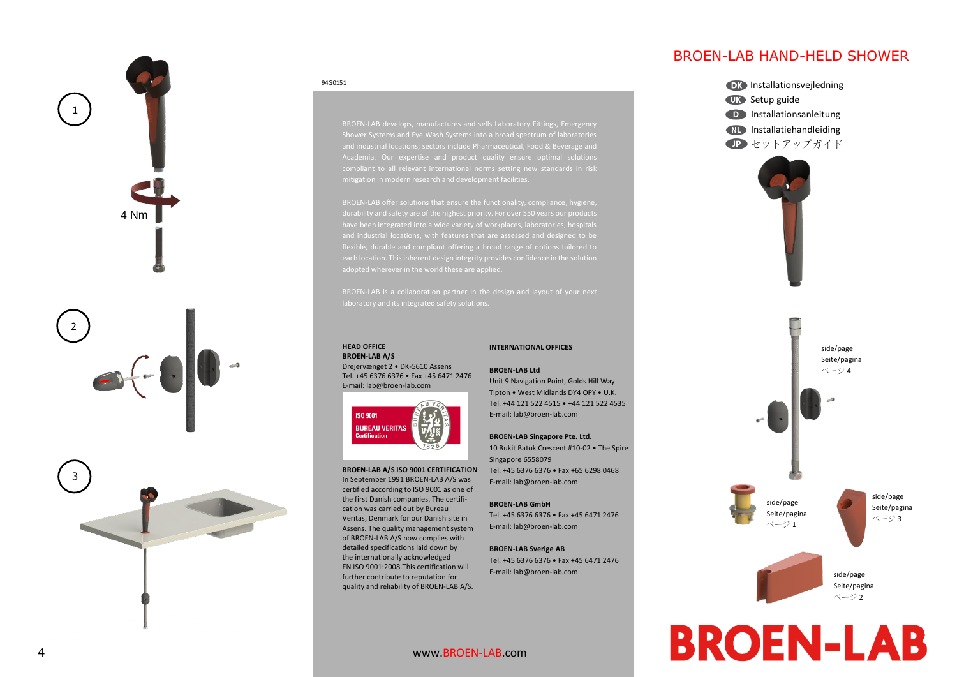

#### 94G0151

BROEN-LAB develops, manufactures and sells Laboratory Fittings, Emergency and industrial locations; sectors include Pharmaceutical, Food & Beverage and

#### **HEAD OFFICE BROEN-LAB A/S**

Drejervænget 2 • DK-5610 Assens Tel. +45 6376 6376 • Fax +45 6471 2476 E-mail: lab@broen-lab.com



#### **BROEN-LAB A/S ISO 9001 CERTIFICATION**

In September 1991 BROEN-LAB A/S was certified according to ISO 9001 as one of the first Danish companies. The certification was carried out by Bureau Veritas, Denmark for our Danish site in Assens. The quality management system of BROEN-LAB A/S now complies with detailed specifications laid down by the internationally acknowledged EN ISO 9001:2008.This certification will further contribute to reputation for quality and reliability of BROEN-LAB A/S.

## **INTERNATIONAL OFFICES**

#### **BROEN-LAB Ltd**

Unit 9 Navigation Point, Golds Hill Way Tipton • West Midlands DY4 OPY • U.K. Tel. +44 121 522 4515 • +44 121 522 4535 E-mail: lab@broen-lab.com

#### **BROEN-LAB Singapore Pte. Ltd.**

10 Bukit Batok Crescent #10-02 • The Spire Singapore 6558079 Tel. +45 6376 6376 • Fax +65 6298 0468 E-mail: lab@broen-lab.com

### **BROEN-LAB GmbH**

Tel. +45 6376 6376 • Fax +45 6471 2476 E-mail: lab@broen-lab.com

# **BROEN-LAB Sverige AB**

Tel. +45 6376 6376 • Fax +45 6471 2476 E-mail: lab@broen-lab.com

# BROEN-LAB HAND-HELD SHOWER



www.BROEN-LAB.com